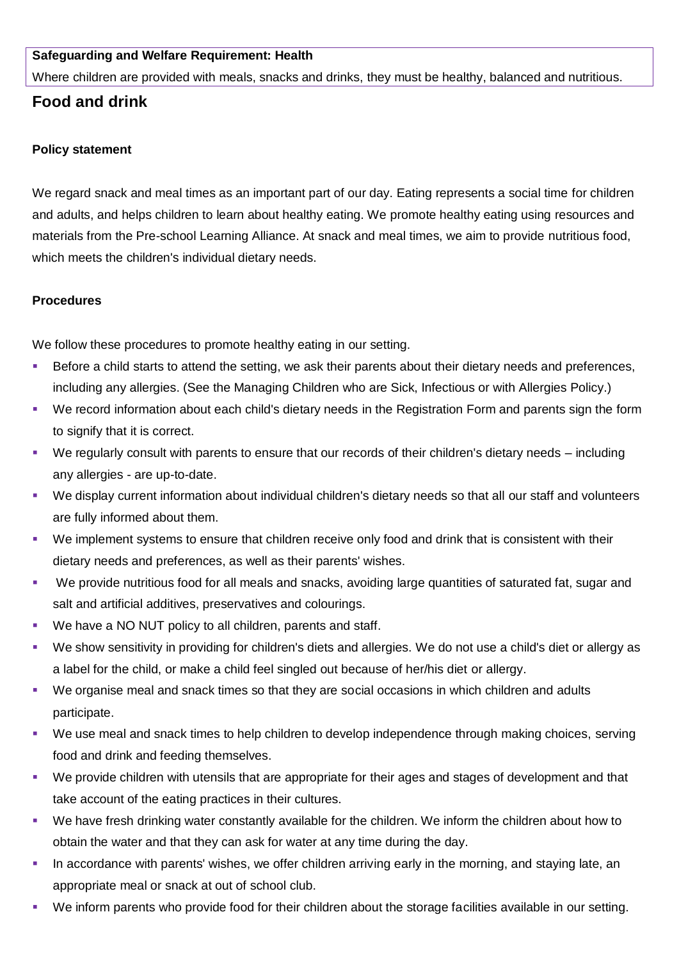## **Safeguarding and Welfare Requirement: Health**

Where children are provided with meals, snacks and drinks, they must be healthy, balanced and nutritious.

# **Food and drink**

## **Policy statement**

We regard snack and meal times as an important part of our day. Eating represents a social time for children and adults, and helps children to learn about healthy eating. We promote healthy eating using resources and materials from the Pre-school Learning Alliance. At snack and meal times, we aim to provide nutritious food, which meets the children's individual dietary needs.

## **Procedures**

We follow these procedures to promote healthy eating in our setting.

- Before a child starts to attend the setting, we ask their parents about their dietary needs and preferences, including any allergies. (See the Managing Children who are Sick, Infectious or with Allergies Policy.)
- We record information about each child's dietary needs in the Registration Form and parents sign the form to signify that it is correct.
- We regularly consult with parents to ensure that our records of their children's dietary needs including any allergies - are up-to-date.
- We display current information about individual children's dietary needs so that all our staff and volunteers are fully informed about them.
- We implement systems to ensure that children receive only food and drink that is consistent with their dietary needs and preferences, as well as their parents' wishes.
- We provide nutritious food for all meals and snacks, avoiding large quantities of saturated fat, sugar and salt and artificial additives, preservatives and colourings.
- We have a NO NUT policy to all children, parents and staff.
- We show sensitivity in providing for children's diets and allergies. We do not use a child's diet or allergy as a label for the child, or make a child feel singled out because of her/his diet or allergy.
- We organise meal and snack times so that they are social occasions in which children and adults participate.
- We use meal and snack times to help children to develop independence through making choices, serving food and drink and feeding themselves.
- We provide children with utensils that are appropriate for their ages and stages of development and that take account of the eating practices in their cultures.
- We have fresh drinking water constantly available for the children. We inform the children about how to obtain the water and that they can ask for water at any time during the day.
- In accordance with parents' wishes, we offer children arriving early in the morning, and staying late, an appropriate meal or snack at out of school club.
- We inform parents who provide food for their children about the storage facilities available in our setting.